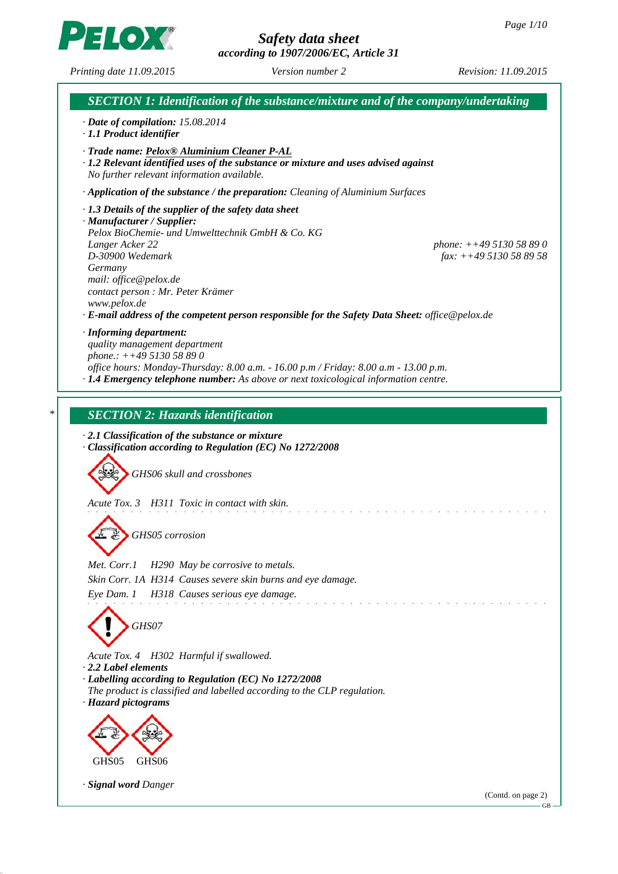*according to 1907/2006/EC, Article 31*





GB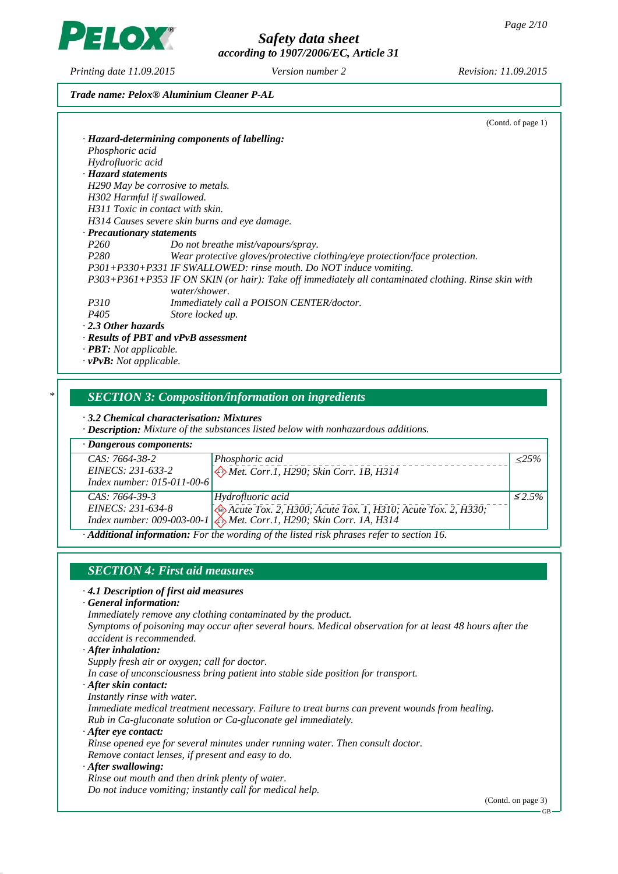*Safety data sheet according to 1907/2006/EC, Article 31*

*Printing date 11.09.2015 Revision: 11.09.2015 Version number 2*

**IO)** 

### *Trade name: Pelox® Aluminium Cleaner P-AL*

|                                      | (Contd. of page 1)                                                                                   |
|--------------------------------------|------------------------------------------------------------------------------------------------------|
|                                      | · Hazard-determining components of labelling:                                                        |
| Phosphoric acid                      |                                                                                                      |
| Hydrofluoric acid                    |                                                                                                      |
| · Hazard statements                  |                                                                                                      |
| H290 May be corrosive to metals.     |                                                                                                      |
| H302 Harmful if swallowed.           |                                                                                                      |
| H311 Toxic in contact with skin.     |                                                                                                      |
|                                      | H314 Causes severe skin burns and eye damage.                                                        |
| · Precautionary statements           |                                                                                                      |
| P <sub>260</sub>                     | Do not breathe mist/vapours/spray.                                                                   |
| P280                                 | Wear protective gloves/protective clothing/eye protection/face protection.                           |
|                                      | P301+P330+P331 IF SWALLOWED: rinse mouth. Do NOT induce vomiting.                                    |
|                                      | P303+P361+P353 IF ON SKIN (or hair): Take off immediately all contaminated clothing. Rinse skin with |
|                                      | water/shower.                                                                                        |
| <i>P310</i>                          | <i>Immediately call a POISON CENTER/doctor.</i>                                                      |
| P405                                 | Store locked up.                                                                                     |
| $\cdot$ 2.3 Other hazards            |                                                                                                      |
|                                      | $\cdot$ Results of PBT and vPvB assessment                                                           |
| · <b>PBT</b> : Not applicable.       |                                                                                                      |
| $\cdot$ <b>vPvB:</b> Not applicable. |                                                                                                      |

## *\* SECTION 3: Composition/information on ingredients*

*· 3.2 Chemical characterisation: Mixtures*

*· Description: Mixture of the substances listed below with nonhazardous additions.*

| $\cdot$ Dangerous components:                                                                  |                                                                                |                |
|------------------------------------------------------------------------------------------------|--------------------------------------------------------------------------------|----------------|
| CAS: 7664-38-2                                                                                 | Phosphoric acid                                                                | $\langle 25\%$ |
| EINECS: 231-633-2                                                                              | Met. Corr.1, H290; Skin Corr. 1B, H314                                         |                |
| Index number: 015-011-00-6                                                                     |                                                                                |                |
| $CAS: 7664-39-3$                                                                               | Hydrofluoric acid                                                              | $\leq 2.5\%$   |
| EINECS: 231-634-8                                                                              | Acute Tox. 2, H300; Acute Tox. 1, H310; Acute Tox. 2, H330;                    |                |
|                                                                                                | Index number: 009-003-00-1 $\bigotimes$ Met. Corr.1, H290; Skin Corr. 1A, H314 |                |
| $\cdot$ Additional information: For the wording of the listed risk phrases refer to section 16 |                                                                                |                |

*· Additional information: For the wording of the listed risk phrases refer to section 16.*

## *SECTION 4: First aid measures*

#### *· 4.1 Description of first aid measures*

*· General information:*

*Immediately remove any clothing contaminated by the product. Symptoms of poisoning may occur after several hours. Medical observation for at least 48 hours after the*

*accident is recommended.*

*· After inhalation:*

*Supply fresh air or oxygen; call for doctor.*

*In case of unconsciousness bring patient into stable side position for transport.*

*· After skin contact:*

*Instantly rinse with water.*

*Immediate medical treatment necessary. Failure to treat burns can prevent wounds from healing. Rub in Ca-gluconate solution or Ca-gluconate gel immediately.*

*· After eye contact:*

*Rinse opened eye for several minutes under running water. Then consult doctor. Remove contact lenses, if present and easy to do.*

*· After swallowing:*

*Rinse out mouth and then drink plenty of water. Do not induce vomiting; instantly call for medical help.*

(Contd. on page 3)

GB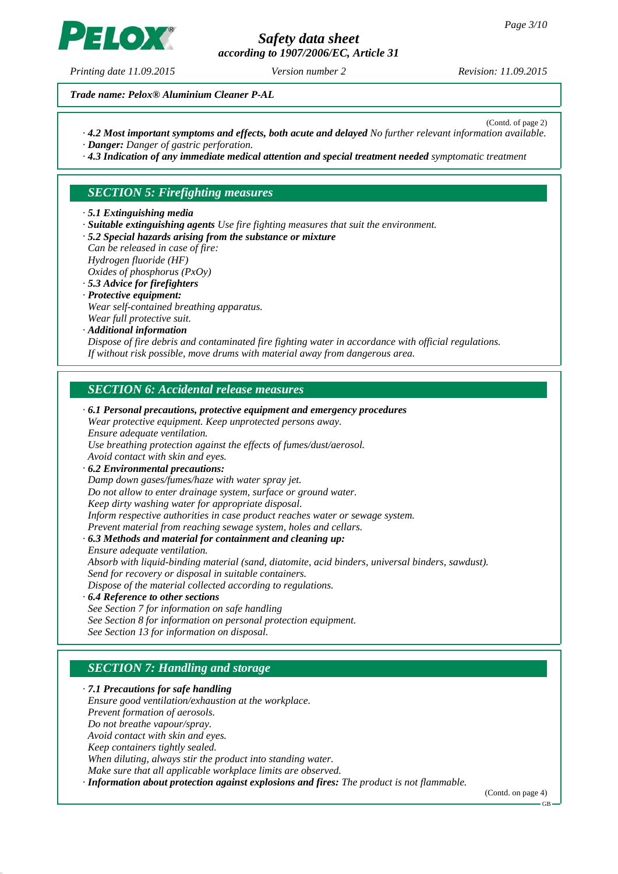*according to 1907/2006/EC, Article 31*

*Printing date 11.09.2015 Revision: 11.09.2015 Version number 2*

 $H$ (o)

(Contd. of page 2)

*Trade name: Pelox® Aluminium Cleaner P-AL*

- *· 4.2 Most important symptoms and effects, both acute and delayed No further relevant information available. · Danger: Danger of gastric perforation.*
- *· 4.3 Indication of any immediate medical attention and special treatment needed symptomatic treatment*

## *SECTION 5: Firefighting measures*

- *· 5.1 Extinguishing media*
- *· Suitable extinguishing agents Use fire fighting measures that suit the environment.*
- *· 5.2 Special hazards arising from the substance or mixture*
- *Can be released in case of fire: Hydrogen fluoride (HF) Oxides of phosphorus (PxOy)*
- *· 5.3 Advice for firefighters*
- *· Protective equipment: Wear self-contained breathing apparatus. Wear full protective suit.*
- *· Additional information*

*Dispose of fire debris and contaminated fire fighting water in accordance with official regulations. If without risk possible, move drums with material away from dangerous area.*

### *SECTION 6: Accidental release measures*

*· 6.1 Personal precautions, protective equipment and emergency procedures Wear protective equipment. Keep unprotected persons away. Ensure adequate ventilation. Use breathing protection against the effects of fumes/dust/aerosol. Avoid contact with skin and eyes. · 6.2 Environmental precautions: Damp down gases/fumes/haze with water spray jet. Do not allow to enter drainage system, surface or ground water. Keep dirty washing water for appropriate disposal. Inform respective authorities in case product reaches water or sewage system. Prevent material from reaching sewage system, holes and cellars. · 6.3 Methods and material for containment and cleaning up: Ensure adequate ventilation. Absorb with liquid-binding material (sand, diatomite, acid binders, universal binders, sawdust). Send for recovery or disposal in suitable containers. Dispose of the material collected according to regulations. · 6.4 Reference to other sections See Section 7 for information on safe handling See Section 8 for information on personal protection equipment. See Section 13 for information on disposal.*

## *SECTION 7: Handling and storage*

*· 7.1 Precautions for safe handling Ensure good ventilation/exhaustion at the workplace. Prevent formation of aerosols. Do not breathe vapour/spray. Avoid contact with skin and eyes. Keep containers tightly sealed. When diluting, always stir the product into standing water. Make sure that all applicable workplace limits are observed. · Information about protection against explosions and fires: The product is not flammable.*

(Contd. on page 4)

GB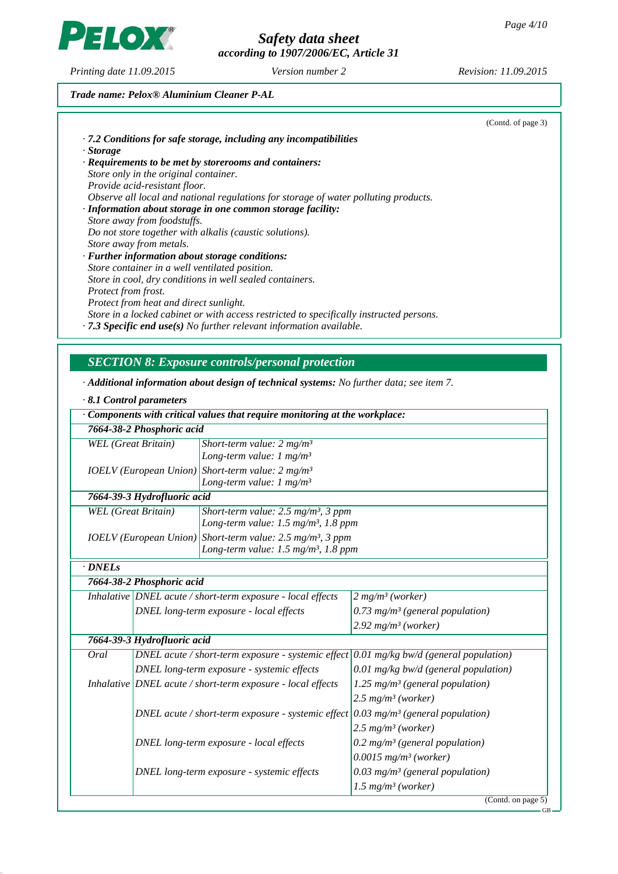*according to 1907/2006/EC, Article 31*

*Printing date 11.09.2015 Revision: 11.09.2015 Version number 2*

PELOX

## *Trade name: Pelox® Aluminium Cleaner P-AL*

|                                                                                         | (Contd. of page 3) |
|-----------------------------------------------------------------------------------------|--------------------|
| $\cdot$ 7.2 Conditions for safe storage, including any incompatibilities                |                    |
| · Storage                                                                               |                    |
| $\cdot$ Requirements to be met by storerooms and containers:                            |                    |
| Store only in the original container.                                                   |                    |
| Provide acid-resistant floor.                                                           |                    |
| Observe all local and national regulations for storage of water polluting products.     |                    |
| · Information about storage in one common storage facility:                             |                    |
| Store away from foodstuffs.                                                             |                    |
| Do not store together with alkalis (caustic solutions).                                 |                    |
| Store away from metals.                                                                 |                    |
| $\cdot$ Further information about storage conditions:                                   |                    |
| Store container in a well ventilated position.                                          |                    |
| Store in cool, dry conditions in well sealed containers.                                |                    |
| Protect from frost.                                                                     |                    |
| Protect from heat and direct sunlight.                                                  |                    |
| Store in a locked cabinet or with access restricted to specifically instructed persons. |                    |
| $\cdot$ 7.3 Specific end use(s) No further relevant information available.              |                    |

*· Additional information about design of technical systems: No further data; see item 7.*

|                            | $\cdot$ 8.1 Control parameters |                                                                                                  |                                                                                           |
|----------------------------|--------------------------------|--------------------------------------------------------------------------------------------------|-------------------------------------------------------------------------------------------|
|                            |                                | $\cdot$ Components with critical values that require monitoring at the workplace:                |                                                                                           |
|                            | 7664-38-2 Phosphoric acid      |                                                                                                  |                                                                                           |
| <b>WEL</b> (Great Britain) |                                | Short-term value: $2 mg/m3$                                                                      |                                                                                           |
|                            |                                | Long-term value: $1 \text{ mg/m}^3$                                                              |                                                                                           |
|                            |                                | <b>IOELV</b> (European Union) Short-term value: $2 mg/m3$<br>Long-term value: $1 \text{ mg/m}^3$ |                                                                                           |
|                            | 7664-39-3 Hydrofluoric acid    |                                                                                                  |                                                                                           |
| <b>WEL</b> (Great Britain) |                                | Short-term value: $2.5$ mg/m <sup>3</sup> , 3 ppm                                                |                                                                                           |
|                            |                                | Long-term value: $1.5$ mg/m <sup>3</sup> , $1.8$ ppm                                             |                                                                                           |
|                            |                                | $IOELV$ (European Union) Short-term value: 2.5 mg/m <sup>3</sup> , 3 ppm                         |                                                                                           |
|                            |                                | Long-term value: $1.5$ mg/m <sup>3</sup> , $1.8$ ppm                                             |                                                                                           |
| $\cdot$ DNELs              |                                |                                                                                                  |                                                                                           |
|                            | 7664-38-2 Phosphoric acid      |                                                                                                  |                                                                                           |
|                            |                                | Inhalative DNEL acute / short-term exposure - local effects                                      | 2 mg/m <sup>3</sup> (worker)                                                              |
|                            |                                | DNEL long-term exposure - local effects                                                          | $0.73$ mg/m <sup>3</sup> (general population)                                             |
|                            |                                |                                                                                                  | $2.92$ mg/m <sup>3</sup> (worker)                                                         |
|                            | 7664-39-3 Hydrofluoric acid    |                                                                                                  |                                                                                           |
| Oral                       |                                |                                                                                                  | DNEL acute / short-term exposure - systemic effect $0.01$ mg/kg bw/d (general population) |
|                            |                                | DNEL long-term exposure - systemic effects                                                       | 0.01 mg/kg bw/d (general population)                                                      |
|                            |                                | Inhalative   DNEL acute / short-term exposure - local effects                                    | 1.25 mg/m <sup>3</sup> (general population)                                               |
|                            |                                |                                                                                                  | $2.5$ mg/m <sup>3</sup> (worker)                                                          |
|                            |                                | DNEL acute / short-term exposure - systemic effect $0.03$ mg/m <sup>3</sup> (general population) |                                                                                           |
|                            |                                |                                                                                                  | $2.5$ mg/m <sup>3</sup> (worker)                                                          |
|                            |                                | DNEL long-term exposure - local effects                                                          | 0.2 mg/m <sup>3</sup> (general population)                                                |
|                            |                                |                                                                                                  | $0.0015$ mg/m <sup>3</sup> (worker)                                                       |
|                            |                                | DNEL long-term exposure - systemic effects                                                       | 0.03 mg/m <sup>3</sup> (general population)                                               |
|                            |                                |                                                                                                  | $1.5$ mg/m <sup>3</sup> (worker)                                                          |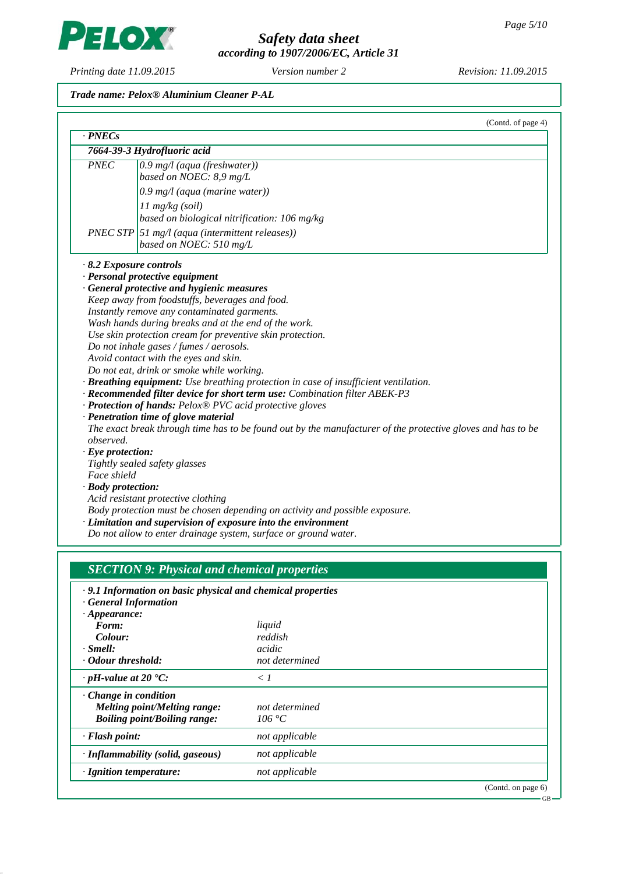GB

*Safety data sheet*

*according to 1907/2006/EC, Article 31*

*Printing date 11.09.2015 Revision: 11.09.2015 Version number 2*

## *Trade name: Pelox® Aluminium Cleaner P-AL*

| $\cdot$ PNECs                 | (Contd. of page 4)                                                                                          |
|-------------------------------|-------------------------------------------------------------------------------------------------------------|
|                               | 7664-39-3 Hydrofluoric acid                                                                                 |
|                               |                                                                                                             |
| <b>PNEC</b>                   | $0.9$ mg/l (aqua (freshwater))                                                                              |
|                               | based on NOEC: 8,9 mg/L                                                                                     |
|                               | $0.9$ mg/l (aqua (marine water))                                                                            |
|                               | $11 \text{ mg/kg}$ (soil)                                                                                   |
|                               | based on biological nitrification: 106 mg/kg                                                                |
|                               | $PNEC$ STP $\vert$ 51 mg/l (aqua (intermittent releases))                                                   |
|                               | based on NOEC: 510 mg/L                                                                                     |
|                               |                                                                                                             |
| $\cdot$ 8.2 Exposure controls |                                                                                                             |
|                               | · Personal protective equipment                                                                             |
|                               | · General protective and hygienic measures                                                                  |
|                               | Keep away from foodstuffs, beverages and food.                                                              |
|                               | Instantly remove any contaminated garments.                                                                 |
|                               | Wash hands during breaks and at the end of the work.                                                        |
|                               | Use skin protection cream for preventive skin protection.                                                   |
|                               | Do not inhale gases / fumes / aerosols.                                                                     |
|                               | Avoid contact with the eyes and skin.                                                                       |
|                               | Do not eat, drink or smoke while working.                                                                   |
|                               | · Breathing equipment: Use breathing protection in case of insufficient ventilation.                        |
|                               | · Recommended filter device for short term use: Combination filter ABEK-P3                                  |
|                               | · Protection of hands: Pelox® PVC acid protective gloves                                                    |
|                               | · Penetration time of glove material                                                                        |
|                               | The exact break through time has to be found out by the manufacturer of the protective gloves and has to be |
| observed.                     |                                                                                                             |
| $\cdot$ Eye protection:       |                                                                                                             |
|                               | Tightly sealed safety glasses                                                                               |
| Face shield                   |                                                                                                             |
| · Body protection:            |                                                                                                             |
|                               | Acid resistant protective clothing                                                                          |
|                               | Body protection must be chosen depending on activity and possible exposure.                                 |
|                               | · Limitation and supervision of exposure into the environment                                               |
|                               |                                                                                                             |

| .9.1 Information on basic physical and chemical properties |                |                       |  |  |
|------------------------------------------------------------|----------------|-----------------------|--|--|
| <b>General Information</b>                                 |                |                       |  |  |
| $\cdot$ Appearance:                                        |                |                       |  |  |
| Form:                                                      | liquid         |                       |  |  |
| Colour:                                                    | reddish        |                       |  |  |
| $\cdot$ Smell:                                             | acidic         |                       |  |  |
| Odour threshold:                                           | not determined |                       |  |  |
| $\cdot$ pH-value at 20 $\textdegree$ C:                    | $\langle l$    |                       |  |  |
| $\cdot$ Change in condition                                |                |                       |  |  |
| Melting point/Melting range:                               | not determined |                       |  |  |
| <b>Boiling point/Boiling range:</b>                        | 106 °C         |                       |  |  |
| $\cdot$ Flash point:                                       | not applicable |                       |  |  |
| · Inflammability (solid, gaseous)                          | not applicable |                       |  |  |
| $\cdot$ Ignition temperature:                              | not applicable |                       |  |  |
|                                                            |                | (Contd. on page $6$ ) |  |  |

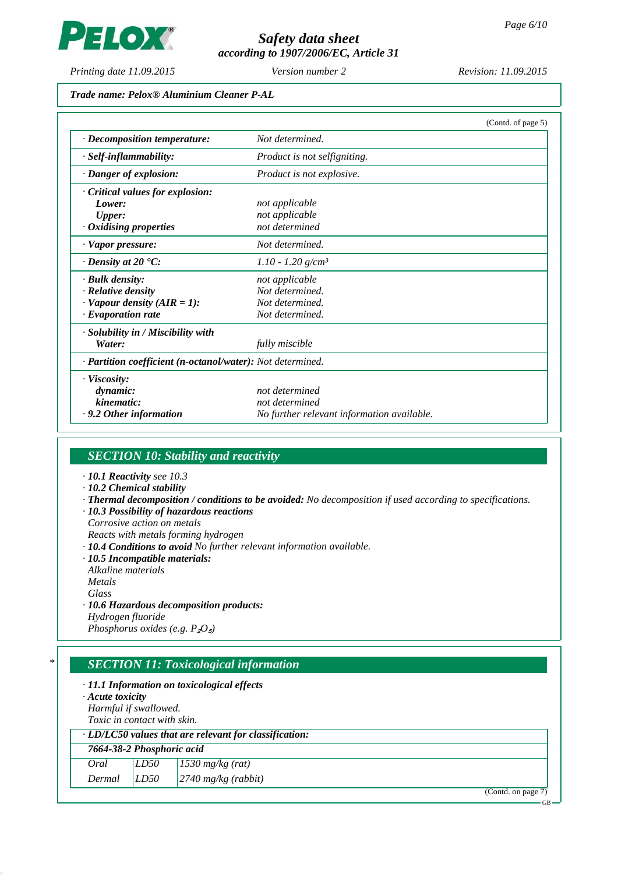PELOX

# *Safety data sheet according to 1907/2006/EC, Article 31*

*Printing date 11.09.2015 Revision: 11.09.2015 Version number 2*

*Trade name: Pelox® Aluminium Cleaner P-AL*

|                                                            |                                            | (Contd. of page 5) |
|------------------------------------------------------------|--------------------------------------------|--------------------|
| $\cdot$ Decomposition temperature:                         | Not determined.                            |                    |
| $\cdot$ Self-inflammability:                               | Product is not selfigniting.               |                    |
| $\cdot$ Danger of explosion:                               | Product is not explosive.                  |                    |
| Critical values for explosion:                             |                                            |                    |
| Lower:                                                     | not applicable                             |                    |
| <b>Upper:</b>                                              | not applicable                             |                    |
| $\cdot$ Oxidising properties                               | not determined                             |                    |
| · Vapor pressure:                                          | Not determined.                            |                    |
| $\cdot$ Density at 20 $\cdot$ C:                           | $1.10 - 1.20$ g/cm <sup>3</sup>            |                    |
| · Bulk density:                                            | not applicable                             |                    |
| $\cdot$ Relative density                                   | Not determined.                            |                    |
| $\cdot$ Vapour density (AIR = 1):                          | Not determined.                            |                    |
| $\cdot$ Evaporation rate                                   | Not determined.                            |                    |
| $\cdot$ Solubility in / Miscibility with                   |                                            |                    |
| Water:                                                     | fully miscible                             |                    |
| · Partition coefficient (n-octanol/water): Not determined. |                                            |                    |
| · Viscosity:                                               |                                            |                    |
| dynamic:                                                   | not determined                             |                    |
| kinematic:                                                 | not determined                             |                    |
| $\cdot$ 9.2 Other information                              | No further relevant information available. |                    |

# *SECTION 10: Stability and reactivity*

- *· 10.1 Reactivity see 10.3*
- *· 10.2 Chemical stability*
- *· Thermal decomposition / conditions to be avoided: No decomposition if used according to specifications.*
- *· 10.3 Possibility of hazardous reactions Corrosive action on metals*
- *Reacts with metals forming hydrogen*
- *· 10.4 Conditions to avoid No further relevant information available.*
- *· 10.5 Incompatible materials:*
- *Alkaline materials Metals*
- *Glass*
- *· 10.6 Hazardous decomposition products:*
- *Hydrogen fluoride*

*Phosphorus oxides (e.g. P<sub>2</sub>O*<sub>*s*</sub>)</sub>

## *\* SECTION 11: Toxicological information*

|                 | $\cdot$ 11.1 Information on toxicological effects |
|-----------------|---------------------------------------------------|
| A quta toxiqity |                                                   |

| $\cdot$ Acute toxicity             |  |
|------------------------------------|--|
| Harmful if swallowed.              |  |
| <i>Toxic in contact with skin.</i> |  |
|                                    |  |

| $\cdot$ LD/LC50 values that are relevant for classification: |  |                                        |  |
|--------------------------------------------------------------|--|----------------------------------------|--|
| 7664-38-2 Phosphoric acid                                    |  |                                        |  |
| Oral                                                         |  | $LD50$ $1530$ mg/kg (rat)              |  |
|                                                              |  | Dermal $ LD50 $ $ 2740$ mg/kg (rabbit) |  |

(Contd. on page 7)

GB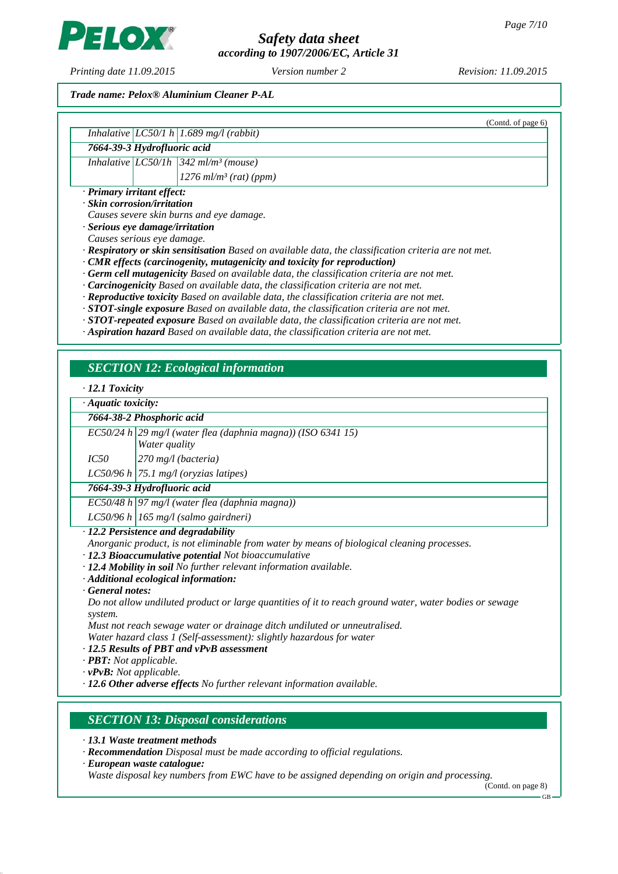*according to 1907/2006/EC, Article 31*

*Printing date 11.09.2015 Revision: 11.09.2015 Version number 2*

ELO)

### *Trade name: Pelox® Aluminium Cleaner P-AL*

|                                       | (Contd. of page 6)                                                                                          |
|---------------------------------------|-------------------------------------------------------------------------------------------------------------|
|                                       | Inhalative $ LC50/1 h  1.689$ mg/l (rabbit)                                                                 |
| 7664-39-3 Hydrofluoric acid           |                                                                                                             |
|                                       | Inhalative $ LCS0/Ih $ 342 ml/m <sup>3</sup> (mouse)                                                        |
|                                       | $1276$ ml/m <sup>3</sup> (rat) (ppm)                                                                        |
| · Primary irritant effect:            |                                                                                                             |
| $\cdot$ Skin corrosion/irritation     |                                                                                                             |
|                                       | Causes severe skin burns and eye damage.                                                                    |
| $\cdot$ Serious eye damage/irritation |                                                                                                             |
| Causes serious eye damage.            |                                                                                                             |
|                                       | $\cdot$ Respiratory or skin sensitisation Based on available data, the classification criteria are not met. |
|                                       | $\cdot$ CMR effects (carcinogenity, mutagenicity and toxicity for reproduction)                             |
|                                       | $\cdot$ Germ cell mutagenicity Based on available data, the classification criteria are not met.            |
|                                       | $\cdot$ <b>Carcinogenicity</b> Based on available data, the classification criteria are not met.            |
|                                       | $\cdot$ Reproductive toxicity Based on available data, the classification criteria are not met.             |
|                                       | $STOT$ single synogroup $D$ and an quaitable data the elgestication suitants are not used                   |

*· STOT-single exposure Based on available data, the classification criteria are not met. · STOT-repeated exposure Based on available data, the classification criteria are not met.*

*· Aspiration hazard Based on available data, the classification criteria are not met.*

## *SECTION 12: Ecological information*

#### *· 12.1 Toxicity*

|  |  | · Aquatic toxicity: |
|--|--|---------------------|
|--|--|---------------------|

| 7664-38-2 Phosphoric acid |                                                                           |
|---------------------------|---------------------------------------------------------------------------|
|                           | $\overline{EC50/24}$ h 29 mg/l (water flea (daphnia magna)) (ISO 6341 15) |
|                           | <b>Water</b> quality                                                      |
| IC50                      | $\vert$ 270 mg/l (bacteria)                                               |

*LC50/96 h 75.1 mg/l (oryzias latipes)*

*7664-39-3 Hydrofluoric acid*

*EC50/48 h 97 mg/l (water flea (daphnia magna))*

*LC50/96 h 165 mg/l (salmo gairdneri)*

*· 12.2 Persistence and degradability*

*Anorganic product, is not eliminable from water by means of biological cleaning processes.*

*· 12.3 Bioaccumulative potential Not bioaccumulative*

- *· 12.4 Mobility in soil No further relevant information available.*
- *· Additional ecological information:*
- *· General notes:*

*Do not allow undiluted product or large quantities of it to reach ground water, water bodies or sewage system.*

*Must not reach sewage water or drainage ditch undiluted or unneutralised.*

*Water hazard class 1 (Self-assessment): slightly hazardous for water*

- *· 12.5 Results of PBT and vPvB assessment*
- *· PBT: Not applicable.*
- *· vPvB: Not applicable.*
- *· 12.6 Other adverse effects No further relevant information available.*

## *SECTION 13: Disposal considerations*

- *· 13.1 Waste treatment methods*
- *· Recommendation Disposal must be made according to official regulations.*
- *· European waste catalogue:*

*Waste disposal key numbers from EWC have to be assigned depending on origin and processing.*

(Contd. on page 8) GB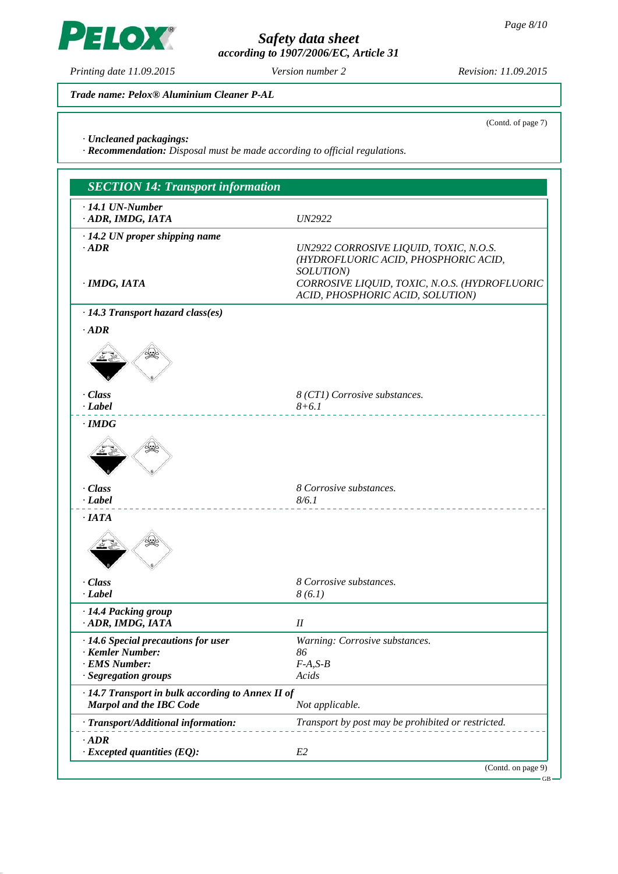PELOX

# *Safety data sheet according to 1907/2006/EC, Article 31*

(Contd. of page 7)

*Trade name: Pelox® Aluminium Cleaner P-AL*

*· Uncleaned packagings:*

*· Recommendation: Disposal must be made according to official regulations.*

| $\cdot$ 14.1 UN-Number<br>· ADR, IMDG, IATA       | <b>UN2922</b>                                                                  |
|---------------------------------------------------|--------------------------------------------------------------------------------|
|                                                   |                                                                                |
| $\cdot$ 14.2 UN proper shipping name<br>$-ADR$    |                                                                                |
|                                                   | UN2922 CORROSIVE LIQUID, TOXIC, N.O.S.<br>(HYDROFLUORIC ACID, PHOSPHORIC ACID, |
|                                                   | SOLUTION)                                                                      |
| · IMDG, IATA                                      | CORROSIVE LIQUID, TOXIC, N.O.S. (HYDROFLUORIC                                  |
|                                                   | ACID, PHOSPHORIC ACID, SOLUTION)                                               |
| $\cdot$ 14.3 Transport hazard class(es)           |                                                                                |
| $\cdot$ <i>ADR</i>                                |                                                                                |
|                                                   |                                                                                |
| · Class                                           | 8 (CT1) Corrosive substances.                                                  |
| $\cdot$ <i>Label</i>                              | $8 + 6.1$                                                                      |
| $\cdot$ IMDG                                      |                                                                                |
| · Class                                           | 8 Corrosive substances.                                                        |
| $\cdot$ <i>Label</i>                              | 8/6.1                                                                          |
| $\cdot$ IATA                                      |                                                                                |
| · Class<br>$\cdot$ <i>Label</i>                   | 8 Corrosive substances.<br>8(6.1)                                              |
| · 14.4 Packing group                              |                                                                                |
| · ADR, IMDG, IATA                                 | $I\!I$                                                                         |
| · 14.6 Special precautions for user               | Warning: Corrosive substances.                                                 |
| · Kemler Number:                                  | 86                                                                             |
| · EMS Number:                                     | $F-A, S-B$                                                                     |
| · Segregation groups                              | Acids                                                                          |
| · 14.7 Transport in bulk according to Annex II of |                                                                                |
| <b>Marpol and the IBC Code</b>                    | Not applicable.                                                                |
| · Transport/Additional information:               | Transport by post may be prohibited or restricted.                             |
| $\cdot$ <i>ADR</i>                                |                                                                                |
| $\cdot$ Excepted quantities (EQ):                 | E2                                                                             |

GB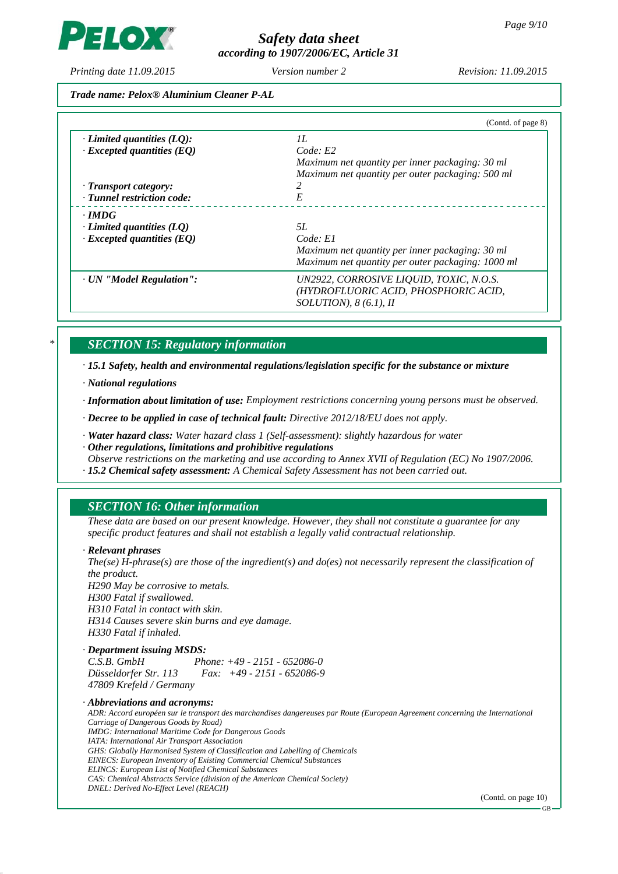**LOX** 

# *Safety data sheet according to 1907/2006/EC, Article 31*

*Printing date 11.09.2015 Revision: 11.09.2015 Version number 2*

*Trade name: Pelox® Aluminium Cleaner P-AL*

| II.<br>Code: E2<br>Maximum net quantity per inner packaging: 30 ml              |
|---------------------------------------------------------------------------------|
|                                                                                 |
|                                                                                 |
|                                                                                 |
| Maximum net quantity per outer packaging: 500 ml                                |
|                                                                                 |
| E                                                                               |
|                                                                                 |
| 5L                                                                              |
| Code: El                                                                        |
| Maximum net quantity per inner packaging: 30 ml                                 |
| Maximum net quantity per outer packaging: 1000 ml                               |
| UN2922, CORROSIVE LIQUID, TOXIC, N.O.S.<br>(HYDROFLUORIC ACID, PHOSPHORIC ACID, |
| $SOLUTION$ , 8(6.1), II                                                         |
|                                                                                 |

# *\* SECTION 15: Regulatory information*

*· 15.1 Safety, health and environmental regulations/legislation specific for the substance or mixture*

*· National regulations*

*· Information about limitation of use: Employment restrictions concerning young persons must be observed.*

*· Decree to be applied in case of technical fault: Directive 2012/18/EU does not apply.*

*· Water hazard class: Water hazard class 1 (Self-assessment): slightly hazardous for water*

*· Other regulations, limitations and prohibitive regulations*

*Observe restrictions on the marketing and use according to Annex XVII of Regulation (EC) No 1907/2006. · 15.2 Chemical safety assessment: A Chemical Safety Assessment has not been carried out.*

# *SECTION 16: Other information*

*These data are based on our present knowledge. However, they shall not constitute a guarantee for any specific product features and shall not establish a legally valid contractual relationship.*

## *· Relevant phrases*

*The(se) H-phrase(s) are those of the ingredient(s) and do(es) not necessarily represent the classification of the product. H290 May be corrosive to metals. H300 Fatal if swallowed. H310 Fatal in contact with skin. H314 Causes severe skin burns and eye damage. H330 Fatal if inhaled. · Department issuing MSDS:*

*C.S.B. GmbH Phone: +49 - 2151 - 652086-0 Düsseldorfer Str. 113 Fax: +49 - 2151 - 652086-9 47809 Krefeld / Germany*

*· Abbreviations and acronyms:*

*ADR: Accord européen sur le transport des marchandises dangereuses par Route (European Agreement concerning the International Carriage of Dangerous Goods by Road) IMDG: International Maritime Code for Dangerous Goods IATA: International Air Transport Association GHS: Globally Harmonised System of Classification and Labelling of Chemicals EINECS: European Inventory of Existing Commercial Chemical Substances ELINCS: European List of Notified Chemical Substances CAS: Chemical Abstracts Service (division of the American Chemical Society) DNEL: Derived No-Effect Level (REACH)*

(Contd. on page 10)

GB